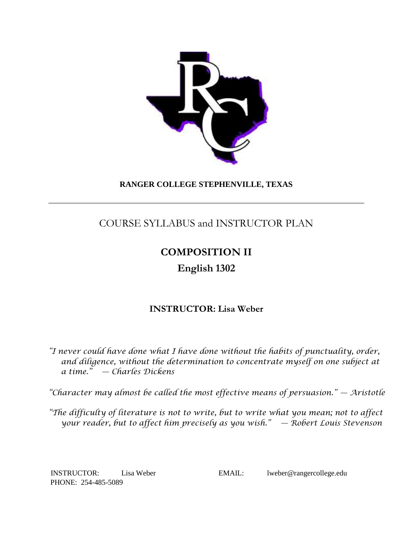

## **RANGER COLLEGE STEPHENVILLE, TEXAS**

# COURSE SYLLABUS and INSTRUCTOR PLAN

# **COMPOSITION II**

# **English 1302**

# **INSTRUCTOR: Lisa Weber**

*"I never could have done what I have done without the habits of punctuality, order, and diligence, without the determination to concentrate myself on one subject at a time." — Charles Dickens*

*"Character may almost be called the most effective means of persuasion." — Aristotle*

*"The difficulty of literature is not to write, but to write what you mean; not to affect your reader, but to affect him precisely as you wish." — Robert Louis Stevenson*

PHONE: 254-485-5089

INSTRUCTOR: Lisa Weber EMAIL: lweber@rangercollege.edu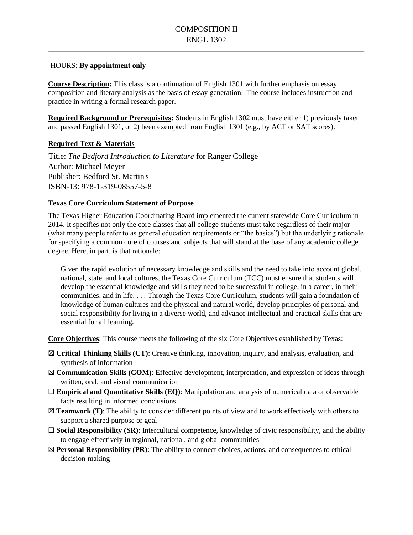#### HOURS: **By appointment only**

**Course Description:** This class is a continuation of English 1301 with further emphasis on essay composition and literary analysis as the basis of essay generation. The course includes instruction and practice in writing a formal research paper.

**Required Background or Prerequisites:** Students in English 1302 must have either 1) previously taken and passed English 1301, or 2) been exempted from English 1301 (e.g., by ACT or SAT scores).

#### **Required Text & Materials**

Title: *The Bedford Introduction to Literature* for Ranger College Author: Michael Meyer Publisher: Bedford St. Martin's ISBN-13: 978-1-319-08557-5-8

#### **Texas Core Curriculum Statement of Purpose**

The Texas Higher Education Coordinating Board implemented the current statewide Core Curriculum in 2014. It specifies not only the core classes that all college students must take regardless of their major (what many people refer to as general education requirements or "the basics") but the underlying rationale for specifying a common core of courses and subjects that will stand at the base of any academic college degree. Here, in part, is that rationale:

Given the rapid evolution of necessary knowledge and skills and the need to take into account global, national, state, and local cultures, the Texas Core Curriculum (TCC) must ensure that students will develop the essential knowledge and skills they need to be successful in college, in a career, in their communities, and in life. . . . Through the Texas Core Curriculum, students will gain a foundation of knowledge of human cultures and the physical and natural world, develop principles of personal and social responsibility for living in a diverse world, and advance intellectual and practical skills that are essential for all learning.

**Core Objectives**: This course meets the following of the six Core Objectives established by Texas:

- ☒ **Critical Thinking Skills (CT)**: Creative thinking, innovation, inquiry, and analysis, evaluation, and synthesis of information
- ☒ **Communication Skills (COM)**: Effective development, interpretation, and expression of ideas through written, oral, and visual communication
- ☐ **Empirical and Quantitative Skills (EQ)**: Manipulation and analysis of numerical data or observable facts resulting in informed conclusions
- ☒ **Teamwork (T)**: The ability to consider different points of view and to work effectively with others to support a shared purpose or goal
- ☐ **Social Responsibility (SR)**: Intercultural competence, knowledge of civic responsibility, and the ability to engage effectively in regional, national, and global communities
- $\boxtimes$  **Personal Responsibility (PR)**: The ability to connect choices, actions, and consequences to ethical decision-making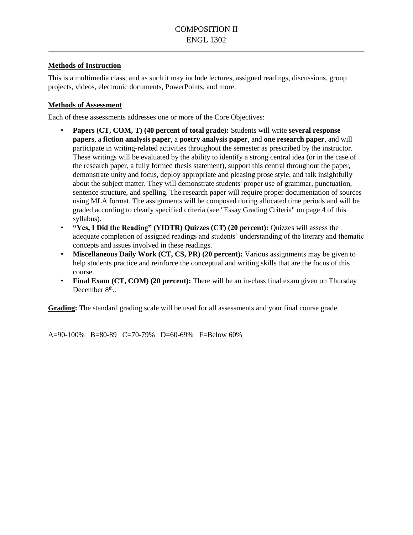#### **Methods of Instruction**

This is a multimedia class, and as such it may include lectures, assigned readings, discussions, group projects, videos, electronic documents, PowerPoints, and more.

#### **Methods of Assessment**

Each of these assessments addresses one or more of the Core Objectives:

- **Papers (CT, COM, T) (40 percent of total grade):** Students will write **several response papers**, a **fiction analysis paper**, a **poetry analysis paper**, and **one research paper**, and will participate in writing-related activities throughout the semester as prescribed by the instructor. These writings will be evaluated by the ability to identify a strong central idea (or in the case of the research paper, a fully formed thesis statement), support this central throughout the paper, demonstrate unity and focus, deploy appropriate and pleasing prose style, and talk insightfully about the subject matter. They will demonstrate students' proper use of grammar, punctuation, sentence structure, and spelling. The research paper will require proper documentation of sources using MLA format. The assignments will be composed during allocated time periods and will be graded according to clearly specified criteria (see "Essay Grading Criteria" on page 4 of this syllabus).
- **"Yes, I Did the Reading" (YIDTR) Quizzes (CT) (20 percent):** Quizzes will assess the adequate completion of assigned readings and students' understanding of the literary and thematic concepts and issues involved in these readings.
- **Miscellaneous Daily Work (CT, CS, PR) (20 percent):** Various assignments may be given to help students practice and reinforce the conceptual and writing skills that are the focus of this course.
- **Final Exam (CT, COM) (20 percent):** There will be an in-class final exam given on Thursday December 8<sup>th</sup>..

**Grading:** The standard grading scale will be used for all assessments and your final course grade.

A=90-100% B=80-89 C=70-79% D=60-69% F=Below 60%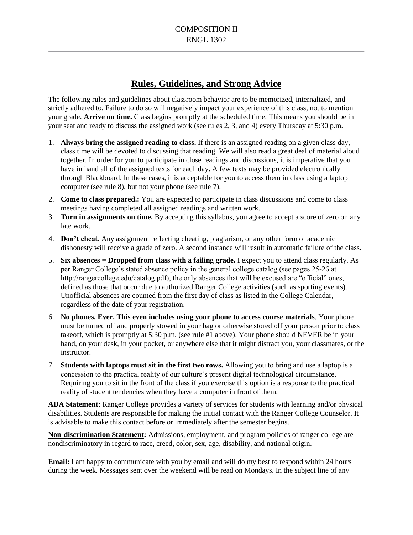## **Rules, Guidelines, and Strong Advice**

The following rules and guidelines about classroom behavior are to be memorized, internalized, and strictly adhered to. Failure to do so will negatively impact your experience of this class, not to mention your grade. **Arrive on time.** Class begins promptly at the scheduled time. This means you should be in your seat and ready to discuss the assigned work (see rules 2, 3, and 4) every Thursday at 5:30 p.m.

- 1. **Always bring the assigned reading to class.** If there is an assigned reading on a given class day, class time will be devoted to discussing that reading. We will also read a great deal of material aloud together. In order for you to participate in close readings and discussions, it is imperative that you have in hand all of the assigned texts for each day. A few texts may be provided electronically through Blackboard. In these cases, it is acceptable for you to access them in class using a laptop computer (see rule 8), but not your phone (see rule 7).
- 2. **Come to class prepared.:** You are expected to participate in class discussions and come to class meetings having completed all assigned readings and written work.
- 3. **Turn in assignments on time.** By accepting this syllabus, you agree to accept a score of zero on any late work.
- 4. **Don't cheat.** Any assignment reflecting cheating, plagiarism, or any other form of academic dishonesty will receive a grade of zero. A second instance will result in automatic failure of the class.
- 5. **Six absences = Dropped from class with a failing grade.** I expect you to attend class regularly. As per Ranger College's stated absence policy in the general college catalog (see pages 25-26 at http://rangercollege.edu/catalog.pdf), the only absences that will be excused are "official" ones, defined as those that occur due to authorized Ranger College activities (such as sporting events). Unofficial absences are counted from the first day of class as listed in the College Calendar, regardless of the date of your registration.
- 6. **No phones. Ever. This even includes using your phone to access course materials**. Your phone must be turned off and properly stowed in your bag or otherwise stored off your person prior to class takeoff, which is promptly at 5:30 p.m. (see rule #1 above). Your phone should NEVER be in your hand, on your desk, in your pocket, or anywhere else that it might distract you, your classmates, or the instructor.
- 7. **Students with laptops must sit in the first two rows.** Allowing you to bring and use a laptop is a concession to the practical reality of our culture's present digital technological circumstance. Requiring you to sit in the front of the class if you exercise this option is a response to the practical reality of student tendencies when they have a computer in front of them.

**ADA Statement:** Ranger College provides a variety of services for students with learning and/or physical disabilities. Students are responsible for making the initial contact with the Ranger College Counselor. It is advisable to make this contact before or immediately after the semester begins.

**Non-discrimination Statement:** Admissions, employment, and program policies of ranger college are nondiscriminatory in regard to race, creed, color, sex, age, disability, and national origin.

**Email:** I am happy to communicate with you by email and will do my best to respond within 24 hours during the week. Messages sent over the weekend will be read on Mondays. In the subject line of any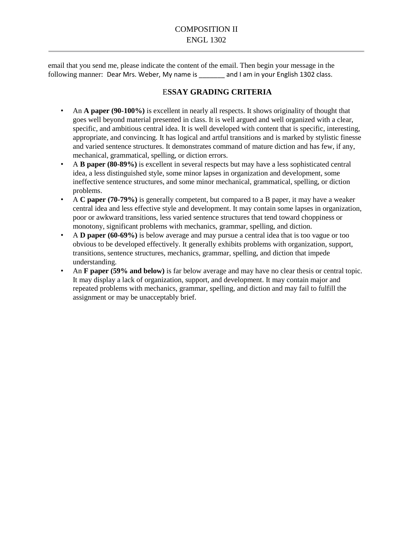email that you send me, please indicate the content of the email. Then begin your message in the following manner: Dear Mrs. Weber, My name is \_\_\_\_\_\_ and I am in your English 1302 class.

### E**SSAY GRADING CRITERIA**

- An **A paper (90-100%)** is excellent in nearly all respects. It shows originality of thought that goes well beyond material presented in class. It is well argued and well organized with a clear, specific, and ambitious central idea. It is well developed with content that is specific, interesting, appropriate, and convincing. It has logical and artful transitions and is marked by stylistic finesse and varied sentence structures. It demonstrates command of mature diction and has few, if any, mechanical, grammatical, spelling, or diction errors.
- A **B paper (80-89%)** is excellent in several respects but may have a less sophisticated central idea, a less distinguished style, some minor lapses in organization and development, some ineffective sentence structures, and some minor mechanical, grammatical, spelling, or diction problems.
- A **C paper (70-79%)** is generally competent, but compared to a B paper, it may have a weaker central idea and less effective style and development. It may contain some lapses in organization, poor or awkward transitions, less varied sentence structures that tend toward choppiness or monotony, significant problems with mechanics, grammar, spelling, and diction.
- A **D paper (60-69%)** is below average and may pursue a central idea that is too vague or too obvious to be developed effectively. It generally exhibits problems with organization, support, transitions, sentence structures, mechanics, grammar, spelling, and diction that impede understanding.
- An **F paper (59% and below)** is far below average and may have no clear thesis or central topic. It may display a lack of organization, support, and development. It may contain major and repeated problems with mechanics, grammar, spelling, and diction and may fail to fulfill the assignment or may be unacceptably brief.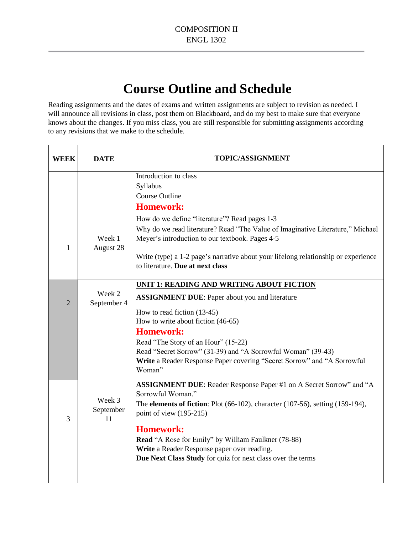# **Course Outline and Schedule**

Reading assignments and the dates of exams and written assignments are subject to revision as needed. I will announce all revisions in class, post them on Blackboard, and do my best to make sure that everyone knows about the changes. If you miss class, you are still responsible for submitting assignments according to any revisions that we make to the schedule.

| <b>WEEK</b>    | <b>DATE</b>               | <b>TOPIC/ASSIGNMENT</b>                                                                                                                 |
|----------------|---------------------------|-----------------------------------------------------------------------------------------------------------------------------------------|
|                |                           | Introduction to class                                                                                                                   |
|                |                           | Syllabus<br><b>Course Outline</b>                                                                                                       |
|                |                           | <b>Homework:</b>                                                                                                                        |
|                |                           |                                                                                                                                         |
|                |                           | How do we define "literature"? Read pages 1-3                                                                                           |
| 1              | Week 1<br>August 28       | Why do we read literature? Read "The Value of Imaginative Literature," Michael<br>Meyer's introduction to our textbook. Pages 4-5       |
|                |                           | Write (type) a 1-2 page's narrative about your lifelong relationship or experience<br>to literature. Due at next class                  |
|                |                           | UNIT 1: READING AND WRITING ABOUT FICTION                                                                                               |
| $\overline{2}$ | Week 2<br>September 4     | <b>ASSIGNMENT DUE:</b> Paper about you and literature                                                                                   |
|                |                           | How to read fiction (13-45)                                                                                                             |
|                |                           | How to write about fiction (46-65)                                                                                                      |
|                |                           | <b>Homework:</b>                                                                                                                        |
|                |                           | Read "The Story of an Hour" (15-22)                                                                                                     |
|                |                           | Read "Secret Sorrow" (31-39) and "A Sorrowful Woman" (39-43)<br>Write a Reader Response Paper covering "Secret Sorrow" and "A Sorrowful |
|                |                           | Woman"                                                                                                                                  |
|                |                           | ASSIGNMENT DUE: Reader Response Paper #1 on A Secret Sorrow" and "A<br>Sorrowful Woman."                                                |
| 3              | Week 3<br>September<br>11 | The elements of fiction: Plot (66-102), character (107-56), setting (159-194),<br>point of view $(195-215)$                             |
|                |                           | <b>Homework:</b>                                                                                                                        |
|                |                           | Read "A Rose for Emily" by William Faulkner (78-88)                                                                                     |
|                |                           | Write a Reader Response paper over reading.                                                                                             |
|                |                           | Due Next Class Study for quiz for next class over the terms                                                                             |
|                |                           |                                                                                                                                         |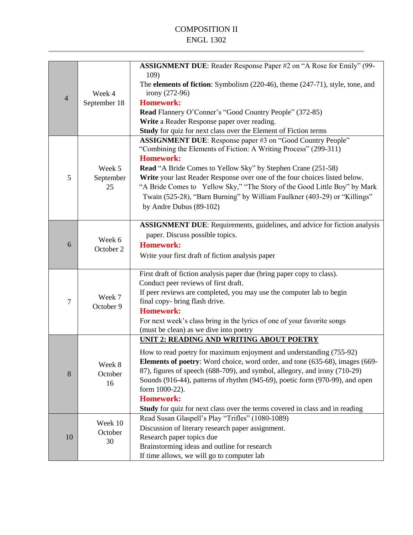## COMPOSITION II ENGL 1302

| $\overline{4}$ | Week 4<br>September 18    | ASSIGNMENT DUE: Reader Response Paper #2 on "A Rose for Emily" (99-<br>109)<br>The <b>elements of fiction</b> : Symbolism (220-46), theme (247-71), style, tone, and<br>irony (272-96)<br><b>Homework:</b><br>Read Flannery O'Conner's "Good Country People" (372-85)<br>Write a Reader Response paper over reading.                                                                                                                                                                              |
|----------------|---------------------------|---------------------------------------------------------------------------------------------------------------------------------------------------------------------------------------------------------------------------------------------------------------------------------------------------------------------------------------------------------------------------------------------------------------------------------------------------------------------------------------------------|
|                |                           | Study for quiz for next class over the Element of Fiction terms                                                                                                                                                                                                                                                                                                                                                                                                                                   |
| 5              | Week 5<br>September<br>25 | ASSIGNMENT DUE: Response paper #3 on "Good Country People"<br>"Combining the Elements of Fiction: A Writing Process" (299-311)<br><b>Homework:</b><br><b>Read</b> "A Bride Comes to Yellow Sky" by Stephen Crane (251-58)<br>Write your last Reader Response over one of the four choices listed below.<br>"A Bride Comes to Yellow Sky," "The Story of the Good Little Boy" by Mark<br>Twain (525-28), "Barn Burning" by William Faulkner (403-29) or "Killings"<br>by Andre Dubus (89-102)      |
| 6              | Week 6<br>October 2       | <b>ASSIGNMENT DUE:</b> Requirements, guidelines, and advice for fiction analysis<br>paper. Discuss possible topics.<br><b>Homework:</b><br>Write your first draft of fiction analysis paper                                                                                                                                                                                                                                                                                                       |
| $\overline{7}$ | Week 7<br>October 9       | First draft of fiction analysis paper due (bring paper copy to class).<br>Conduct peer reviews of first draft.<br>If peer reviews are completed, you may use the computer lab to begin<br>final copy- bring flash drive.<br><b>Homework:</b><br>For next week's class bring in the lyrics of one of your favorite songs<br>(must be clean) as we dive into poetry                                                                                                                                 |
| 8              | Week 8<br>October<br>16   | <b>UNIT 2: READING AND WRITING ABOUT POETRY</b><br>How to read poetry for maximum enjoyment and understanding (755-92)<br><b>Elements of poetry:</b> Word choice, word order, and tone (635-68), images (669-<br>87), figures of speech (688-709), and symbol, allegory, and irony (710-29)<br>Sounds (916-44), patterns of rhythm (945-69), poetic form (970-99), and open<br>form 1000-22).<br><b>Homework:</b><br>Study for quiz for next class over the terms covered in class and in reading |
| 10             | Week 10<br>October<br>30  | Read Susan Glaspell's Play "Trifles" (1080-1089)<br>Discussion of literary research paper assignment.<br>Research paper topics due<br>Brainstorming ideas and outline for research<br>If time allows, we will go to computer lab                                                                                                                                                                                                                                                                  |